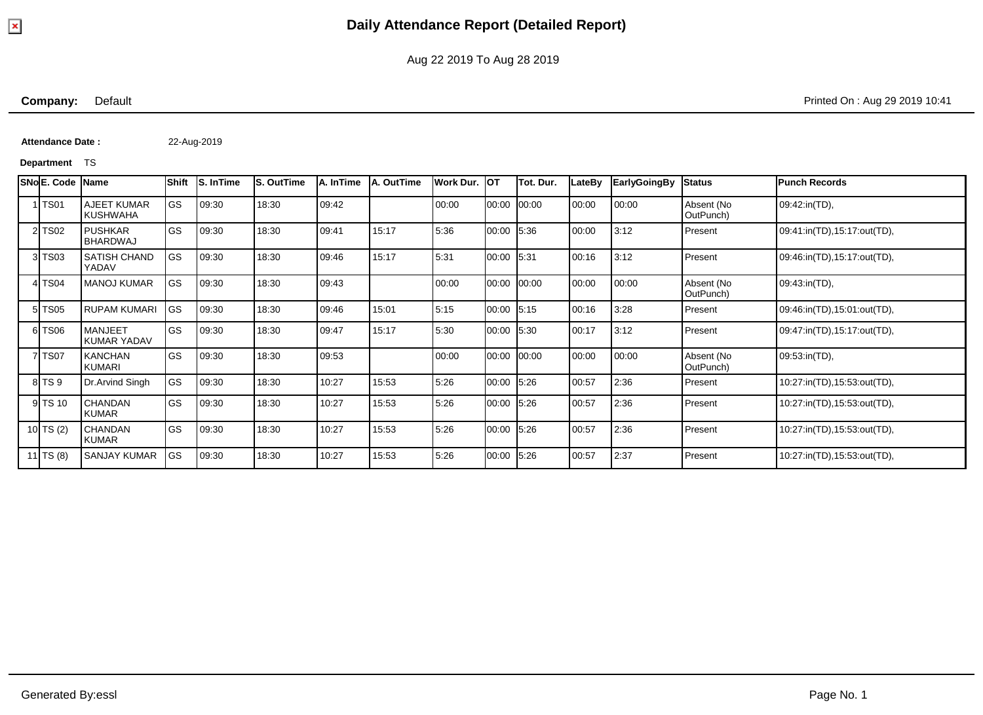**Company:** Default Printed On : Aug 29 2019 10:41

**Attendance Date :** 22-Aug-2019

#### **Department** TS

|    | SNo E. Code     | <b>Name</b>                          | Shift     | <b>S. In Time</b> | <b>S. OutTime</b> | A. InTime | <b>A. OutTime</b> | Work Dur. | IOT         | Tot. Dur. | LateBy | <b>EarlyGoingBy</b> | <b>Status</b>           | <b>Punch Records</b>        |
|----|-----------------|--------------------------------------|-----------|-------------------|-------------------|-----------|-------------------|-----------|-------------|-----------|--------|---------------------|-------------------------|-----------------------------|
|    | <b>TS01</b>     | AJEET KUMAR<br><b>KUSHWAHA</b>       | <b>GS</b> | 09:30             | 18:30             | 09:42     |                   | 00:00     | 00:00 00:00 |           | 00:00  | 00:00               | Absent (No<br>OutPunch) | 09:42:in(TD),               |
|    | <b>TS02</b>     | <b>PUSHKAR</b><br><b>BHARDWAJ</b>    | <b>GS</b> | 09:30             | 18:30             | 09:41     | 15:17             | 5:36      | 00:00 5:36  |           | 00:00  | 3:12                | Present                 | 09:41:in(TD),15:17:out(TD), |
|    | <b>TS03</b>     | <b>SATISH CHAND</b><br>YADAV         | <b>GS</b> | 09:30             | 18:30             | 09:46     | 15:17             | 5:31      | 00:00 5:31  |           | 00:16  | 3:12                | Present                 | 09:46:in(TD),15:17:out(TD), |
|    | TS04            | <b>MANOJ KUMAR</b>                   | <b>GS</b> | 09:30             | 18:30             | 09:43     |                   | 00:00     | 00:00 00:00 |           | 00:00  | 00:00               | Absent (No<br>OutPunch) | 09:43:in(TD),               |
| 51 | <b>TS05</b>     | <b>RUPAM KUMARI</b>                  | <b>GS</b> | 09:30             | 18:30             | 09:46     | 15:01             | 5:15      | 00:00 5:15  |           | 00:16  | 3:28                | Present                 | 09:46:in(TD),15:01:out(TD), |
|    | 6 TS06          | <b>MANJEET</b><br><b>KUMAR YADAV</b> | <b>GS</b> | 09:30             | 18:30             | 09:47     | 15:17             | 5:30      | 00:00 5:30  |           | 00:17  | 3:12                | Present                 | 09:47:in(TD),15:17:out(TD), |
|    | <b>TS07</b>     | <b>KANCHAN</b><br><b>KUMARI</b>      | <b>GS</b> | 09:30             | 18:30             | 09:53     |                   | 00:00     | 00:00       | 00:00     | 00:00  | 00:00               | Absent (No<br>OutPunch) | 09:53:in(TD),               |
|    | TS <sub>9</sub> | Dr.Arvind Singh                      | GS        | 09:30             | 18:30             | 10:27     | 15:53             | 5:26      | 00:00 5:26  |           | 00:57  | 2:36                | Present                 | 10:27:in(TD),15:53:out(TD), |
|    | 9 TS 10         | <b>CHANDAN</b><br><b>KUMAR</b>       | <b>GS</b> | 09:30             | 18:30             | 10:27     | 15:53             | 5:26      | 00:00 5:26  |           | 00:57  | 2:36                | Present                 | 10:27:in(TD),15:53:out(TD), |
| 10 | TS(2)           | <b>CHANDAN</b><br>KUMAR              | GS        | 09:30             | 18:30             | 10:27     | 15:53             | 5:26      | 00:00 5:26  |           | 00:57  | 2:36                | Present                 | 10:27:in(TD),15:53:out(TD), |
|    | 11 TS (8)       | <b>SANJAY KUMAR</b>                  | lgs       | 09:30             | 18:30             | 10:27     | 15:53             | 5:26      | 00:00 5:26  |           | 00:57  | 2:37                | Present                 | 10:27:in(TD),15:53:out(TD), |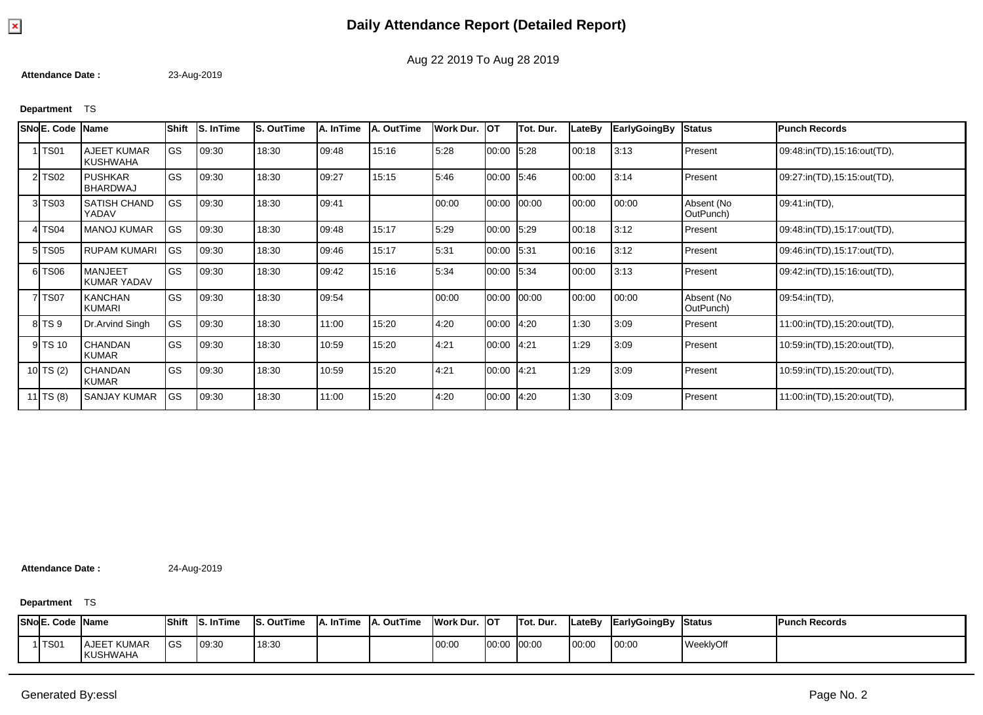

**Attendance Date :** 23-Aug-2019

### **Department** TS

| SNo E. Code | <b>Name</b>                    | Shift      | S. In Time | S. OutTime | A. InTime | A. OutTime | Work Dur. | Іот        | Tot. Dur. | LateBy | <b>EarlyGoingBy</b> | <b>Status</b>           | <b>Punch Records</b>        |
|-------------|--------------------------------|------------|------------|------------|-----------|------------|-----------|------------|-----------|--------|---------------------|-------------------------|-----------------------------|
| 1 TS01      | <b>AJEET KUMAR</b><br>KUSHWAHA | <b>GS</b>  | 09:30      | 18:30      | 09:48     | 15:16      | 5:28      | 00:00      | 5:28      | 00:18  | 3:13                | Present                 | 09:48:in(TD),15:16:out(TD), |
| 2 TS02      | <b>PUSHKAR</b><br>BHARDWAJ     | <b>IGS</b> | 09:30      | 18:30      | 09:27     | 15:15      | 5:46      | 00:00      | 5:46      | 00:00  | 3:14                | Present                 | 09:27:in(TD),15:15:out(TD), |
| 3 TS03      | SATISH CHAND<br>YADAV          | <b>GS</b>  | 09:30      | 18:30      | 09:41     |            | 00:00     | 00:00      | 00:00     | 00:00  | 00:00               | Absent (No<br>OutPunch) | 09:41:in(TD),               |
| 4 TS04      | <b>MANOJ KUMAR</b>             | <b>GS</b>  | 09:30      | 18:30      | 09:48     | 15:17      | 5:29      | 00:00      | 5:29      | 00:18  | 3:12                | Present                 | 09:48:in(TD),15:17:out(TD), |
| 5 TS05      | <b>RUPAM KUMARI</b>            | <b>GS</b>  | 09:30      | 18:30      | 09:46     | 15:17      | 5:31      | 00:00      | 5.31      | 00:16  | 3:12                | Present                 | 09:46:in(TD),15:17:out(TD), |
| 6 TS06      | <b>MANJEET</b><br>KUMAR YADAV  | <b>GS</b>  | 09:30      | 18:30      | 09:42     | 15:16      | 5:34      | 00:00 5:34 |           | 00:00  | 3:13                | Present                 | 09:42:in(TD),15:16:out(TD), |
| 7 TS07      | <b>KANCHAN</b><br>KUMARI       | <b>GS</b>  | 09:30      | 18:30      | 09:54     |            | 00:00     | 00:00      | 00:00     | 00:00  | 00:00               | Absent (No<br>OutPunch) | 09:54:in(TD),               |
| 8 TS 9      | Dr.Arvind Singh                | <b>GS</b>  | 09:30      | 18:30      | 11:00     | 15:20      | 4:20      | 00:00      | 4:20      | 1:30   | 3:09                | Present                 | 11:00:in(TD),15:20:out(TD), |
| 9 TS 10     | <b>CHANDAN</b><br><b>KUMAR</b> | lgs        | 09:30      | 18:30      | 10:59     | 15:20      | 4:21      | 00:00      | 4.21      | 1:29   | 3:09                | Present                 | 10:59:in(TD),15:20:out(TD), |
| 10 TS (2)   | <b>CHANDAN</b><br><b>KUMAR</b> | <b>IGS</b> | 09:30      | 18:30      | 10:59     | 15:20      | 4:21      | 00:00      | 4.21      | 1:29   | 3:09                | Present                 | 10:59:in(TD),15:20:out(TD), |
| 11 $TS(8)$  | <b>SANJAY KUMAR</b>            | <b>GS</b>  | 09:30      | 18:30      | 11:00     | 15:20      | 4:20      | 00:00      | 4:20      | 1:30   | 3:09                | Present                 | 11:00:in(TD),15:20:out(TD), |

**Attendance Date :** 24-Aug-2019

**Department** TS

|             | <b>SNo E. Code Name</b>               | <b>Shift</b> | <b>S. In Time</b> | <b>IS. OutTime</b> | . InTime | <b>IA. OutTime</b> | <b>Work Dur.</b> | . Іот       | Tot. Dur. | <b>ILateBy</b> | EarlyGoingBy | <b>Status</b> | <b>Punch Records</b> |
|-------------|---------------------------------------|--------------|-------------------|--------------------|----------|--------------------|------------------|-------------|-----------|----------------|--------------|---------------|----------------------|
| <b>TS01</b> | <b>AJEET KUMAR</b><br><b>KUSHWAHA</b> | <b>GS</b>    | 09:30             | 18:30              |          |                    | 00:00            | 00:00 00:00 |           | 00:00          | 00:00        | WeeklyOff     |                      |

Aug 22 2019 To Aug 28 2019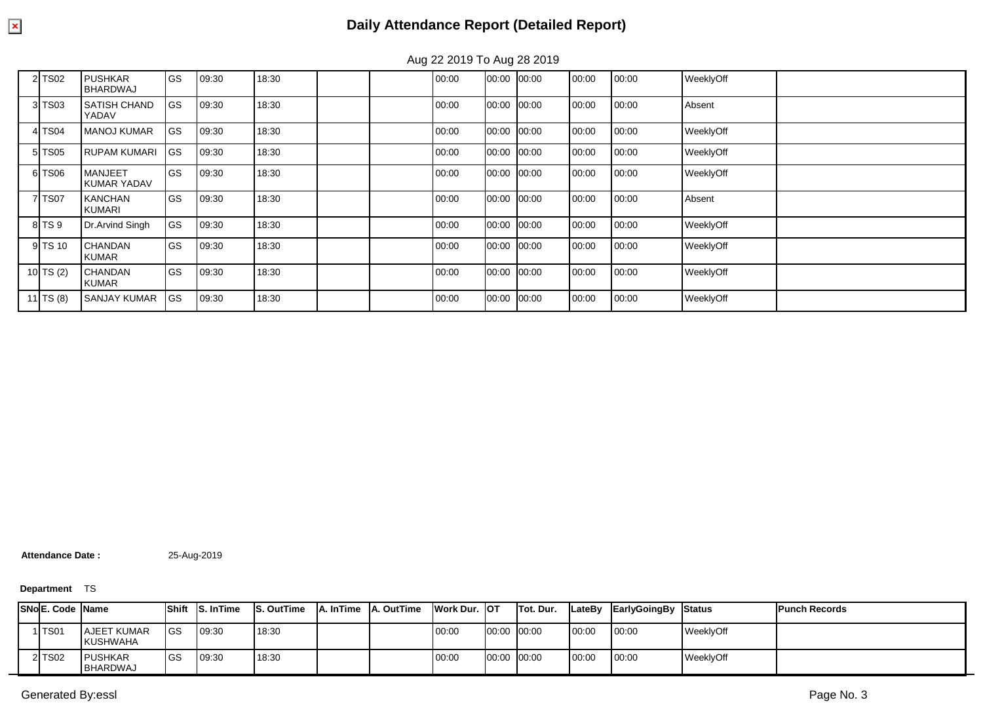|           |                                      |             |       |       | ີ |       |       |       |       |       |           |  |
|-----------|--------------------------------------|-------------|-------|-------|---|-------|-------|-------|-------|-------|-----------|--|
| 2 TS02    | <b>PUSHKAR</b><br>BHARDWAJ           | <b>I</b> GS | 09:30 | 18:30 |   | 00:00 | 00:00 | 00:00 | 00:00 | 00:00 | WeeklyOff |  |
| 3 TS03    | <b>SATISH CHAND</b><br>YADAV         | <b>GS</b>   | 09:30 | 18:30 |   | 00:00 | 00:00 | 00:00 | 00:00 | 00:00 | Absent    |  |
| 4 TS04    | <b>MANOJ KUMAR</b>                   | <b>GS</b>   | 09:30 | 18:30 |   | 00:00 | 00:00 | 00:00 | 00:00 | 00:00 | WeeklyOff |  |
| 5 TS05    | <b>RUPAM KUMARI</b>                  | <b>I</b> GS | 09:30 | 18:30 |   | 00:00 | 00:00 | 00:00 | 00:00 | 00:00 | WeeklyOff |  |
| 6 TS06    | <b>MANJEET</b><br><b>KUMAR YADAV</b> | <b>GS</b>   | 09:30 | 18:30 |   | 00:00 | 00:00 | 00:00 | 00:00 | 00:00 | WeeklyOff |  |
| 7 TS07    | <b>KANCHAN</b><br><b>KUMARI</b>      | <b>GS</b>   | 09:30 | 18:30 |   | 00:00 | 00:00 | 00:00 | 00:00 | 00:00 | Absent    |  |
| 8 TS 9    | Dr.Arvind Singh                      | <b>GS</b>   | 09:30 | 18:30 |   | 00:00 | 00:00 | 00:00 | 00:00 | 00:00 | WeeklyOff |  |
| 9 TS 10   | <b>CHANDAN</b><br><b>KUMAR</b>       | l GS        | 09:30 | 18:30 |   | 00:00 | 00:00 | 00:00 | 00:00 | 00:00 | WeeklyOff |  |
| 10 TS (2) | <b>CHANDAN</b><br>KUMAR              | <b>GS</b>   | 09:30 | 18:30 |   | 00:00 | 00:00 | 00:00 | 00:00 | 00:00 | WeeklyOff |  |
| 11 TS (8) | <b>SANJAY KUMAR</b>                  | <b>IGS</b>  | 09:30 | 18:30 |   | 00:00 | 00:00 | 00:00 | 00:00 | 00:00 | WeeklyOff |  |

Aug 22 2019 To Aug 28 2019

**Attendance Date :** 25-Aug-2019

### **Department** TS

|  | <b>ISNoE. Code IName</b> |                                       | <b>Shift</b> | <b>IS. InTime</b> | S. OutTime | <b>A. In Time A. Out Time</b> | Work Dur. OT |             | <b>Tot. Dur.</b> | <b>ILateBv</b> | EarlyGoingBy | <b>Status</b> | <b>Punch Records</b> |
|--|--------------------------|---------------------------------------|--------------|-------------------|------------|-------------------------------|--------------|-------------|------------------|----------------|--------------|---------------|----------------------|
|  | ITS01                    | <b>AJEET KUMAR</b><br><b>KUSHWAHA</b> | <b>IGS</b>   | 09:30             | 18:30      |                               | 00:00        | 00:00 00:00 |                  | 00:00          | 00:00        | WeeklyOff     |                      |
|  | 2 TS02                   | <b>IPUSHKAR</b><br><b>BHARDWAJ</b>    | <b>IGS</b>   | 09:30             | 18:30      |                               | 00:00        | 00:00 00:00 |                  | 00:00          | 00:00        | WeeklyOff     |                      |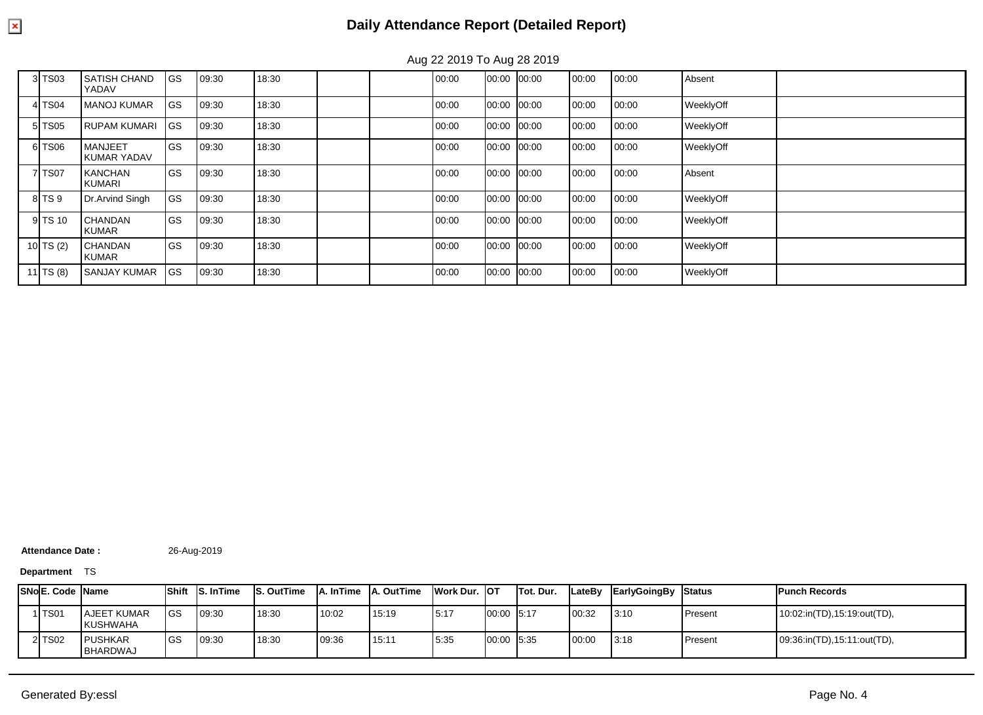| <b>GS</b><br>3 TS03<br><b>SATISH CHAND</b><br>Absent<br>18:30<br>00:00<br>00:00<br>00:00<br>00:00<br>09:30<br>00:00<br>YADAV<br><b>IGS</b><br>18:30<br>00:00<br>00:00<br>00:00<br><b>MANOJ KUMAR</b><br>00:00<br>00:00<br>WeeklyOff<br>4 TS04<br>09:30<br>lgs<br>18:30<br>00:00<br>00:00<br>5 TS05<br>00:00<br>00:00<br>WeeklyOff<br><b>RUPAM KUMARI</b><br>09:30<br>00:00<br><b>I</b> GS<br>6 TS06<br><b>MANJEET</b><br>18:30<br>00:00<br>00:00<br>00:00<br>00:00<br>00:00<br>WeeklyOff<br>09:30<br><b>KUMAR YADAV</b><br><b>GS</b><br>18:30<br>00:00<br>00:00<br>Absent<br>7 TS07<br><b>KANCHAN</b><br>00:00<br>00:00<br>09:30<br>00:00<br>KUMARI<br>GS<br>Dr.Arvind Singh<br>18:30<br>00:00<br>00:00<br>8 TS 9<br>00:00<br>00:00<br>00:00<br>WeeklyOff<br>09:30<br><b>I</b> GS<br>18:30<br>9 TS 10<br><b>CHANDAN</b><br>00:00<br>00:00<br>WeeklyOff<br>00:00<br>00:00<br>09:30<br>00:00<br><b>KUMAR</b><br><b>IGS</b><br>18:30<br>00:00<br>00:00<br>00:00<br>10 TS (2)<br>00:00<br><b>CHANDAN</b><br>00:00<br>WeeklyOff<br>09:30<br><b>KUMAR</b> |           |                     |     |       |       |       |       |       |       |       |           |  |
|-----------------------------------------------------------------------------------------------------------------------------------------------------------------------------------------------------------------------------------------------------------------------------------------------------------------------------------------------------------------------------------------------------------------------------------------------------------------------------------------------------------------------------------------------------------------------------------------------------------------------------------------------------------------------------------------------------------------------------------------------------------------------------------------------------------------------------------------------------------------------------------------------------------------------------------------------------------------------------------------------------------------------------------------------------|-----------|---------------------|-----|-------|-------|-------|-------|-------|-------|-------|-----------|--|
|                                                                                                                                                                                                                                                                                                                                                                                                                                                                                                                                                                                                                                                                                                                                                                                                                                                                                                                                                                                                                                                     |           |                     |     |       |       |       |       |       |       |       |           |  |
|                                                                                                                                                                                                                                                                                                                                                                                                                                                                                                                                                                                                                                                                                                                                                                                                                                                                                                                                                                                                                                                     |           |                     |     |       |       |       |       |       |       |       |           |  |
|                                                                                                                                                                                                                                                                                                                                                                                                                                                                                                                                                                                                                                                                                                                                                                                                                                                                                                                                                                                                                                                     |           |                     |     |       |       |       |       |       |       |       |           |  |
|                                                                                                                                                                                                                                                                                                                                                                                                                                                                                                                                                                                                                                                                                                                                                                                                                                                                                                                                                                                                                                                     |           |                     |     |       |       |       |       |       |       |       |           |  |
|                                                                                                                                                                                                                                                                                                                                                                                                                                                                                                                                                                                                                                                                                                                                                                                                                                                                                                                                                                                                                                                     |           |                     |     |       |       |       |       |       |       |       |           |  |
|                                                                                                                                                                                                                                                                                                                                                                                                                                                                                                                                                                                                                                                                                                                                                                                                                                                                                                                                                                                                                                                     |           |                     |     |       |       |       |       |       |       |       |           |  |
|                                                                                                                                                                                                                                                                                                                                                                                                                                                                                                                                                                                                                                                                                                                                                                                                                                                                                                                                                                                                                                                     |           |                     |     |       |       |       |       |       |       |       |           |  |
|                                                                                                                                                                                                                                                                                                                                                                                                                                                                                                                                                                                                                                                                                                                                                                                                                                                                                                                                                                                                                                                     |           |                     |     |       |       |       |       |       |       |       |           |  |
|                                                                                                                                                                                                                                                                                                                                                                                                                                                                                                                                                                                                                                                                                                                                                                                                                                                                                                                                                                                                                                                     | 11 TS (8) | <b>SANJAY KUMAR</b> | IGS | 09:30 | 18:30 | 00:00 | 00:00 | 00:00 | 00:00 | 00:00 | WeeklyOff |  |

Aug 22 2019 To Aug 28 2019

Attendance Date : 26-Aug-2019

**Department** TS

| <b>ISNoE. Code IName</b> |                                       |           | <b>Shift IS. In Time</b> | <b>IS. OutTime</b> |       | <b>A. InTime LA. OutTime</b> | <b>IWork Dur. IOT</b> |            | Tot. Dur. | <b>ILateBv</b> | EarlyGoingBy | <b>S</b> tatus | <b>Punch Records</b>        |
|--------------------------|---------------------------------------|-----------|--------------------------|--------------------|-------|------------------------------|-----------------------|------------|-----------|----------------|--------------|----------------|-----------------------------|
| 1 TS01                   | <b>AJEET KUMAR</b><br><b>KUSHWAHA</b> | <b>GS</b> | 09:30                    | 18:30              | 10:02 | 15:19                        | 15:17                 | 00:00 5:17 |           | 00:32          | 3:10         | Present        | 10:02:in(TD),15:19:out(TD), |
| 2 TS02                   | <b>IPUSHKAR</b><br><b>BHARDWAJ</b>    | <b>GS</b> | 09:30                    | 18:30              | 09:36 | 15:11                        | 5:35                  | 00:00 5:35 |           | 00:00          | 3:18         | Present        | 09:36:in(TD),15:11:out(TD), |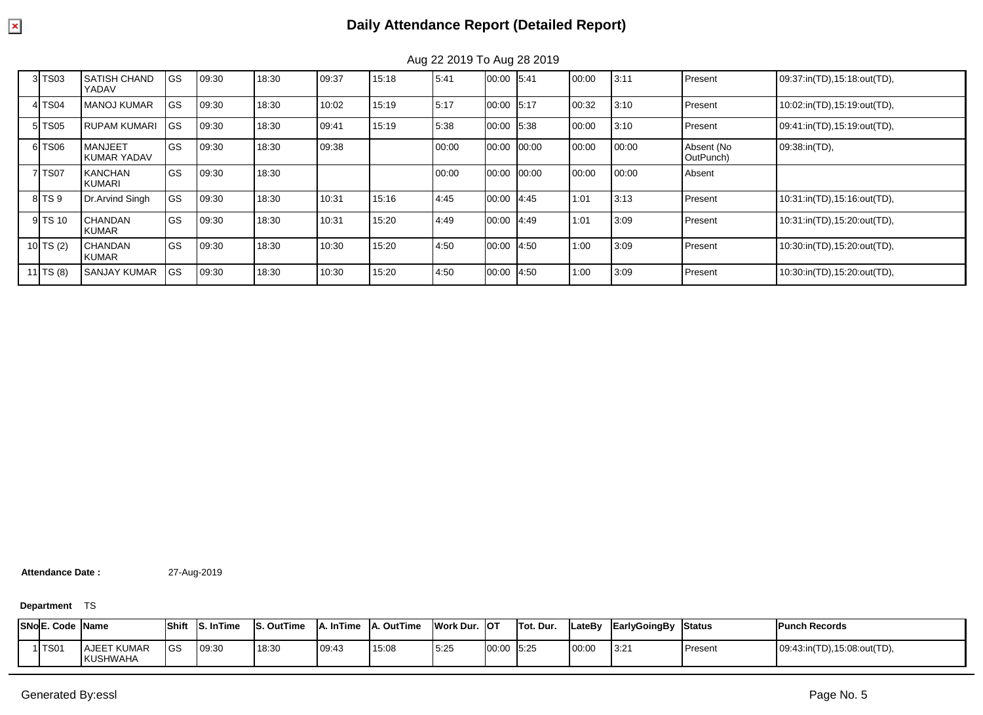| 3 TS03    | <b>SATISH CHAND</b><br>YADAV   | GS         | 09:30 | 18:30 | 09:37 | 15:18 | 5:41  | 00:00      | 5:41  | 00:00 | 3:11  | Present                 | 09:37:in(TD),15:18:out(TD), |
|-----------|--------------------------------|------------|-------|-------|-------|-------|-------|------------|-------|-------|-------|-------------------------|-----------------------------|
| 4 TS04    | <b>MANOJ KUMAR</b>             | GS         | 09:30 | 18:30 | 10:02 | 15:19 | 5:17  | 00:00 5:17 |       | 00:32 | 3:10  | <b>Present</b>          | 10:02:in(TD),15:19:out(TD), |
| 5 TS05    | <b>RUPAM KUMARI</b>            | <b>GS</b>  | 09:30 | 18:30 | 09:41 | 15:19 | 5:38  | 00:00      | 5:38  | 00:00 | 3:10  | Present                 | 09:41:in(TD),15:19:out(TD), |
| 6 TS06    | <b>MANJEET</b><br>KUMAR YADAV  | GS         | 09:30 | 18:30 | 09:38 |       | 00:00 | 00:00      | 00:00 | 00:00 | 00:00 | Absent (No<br>OutPunch) | 09:38:in(TD),               |
| 7 TS07    | <b>KANCHAN</b><br>KUMARI       | <b>IGS</b> | 09:30 | 18:30 |       |       | 00:00 | 00:00      | 00:00 | 00:00 | 00:00 | Absent                  |                             |
| 8 TS 9    | Dr.Arvind Singh                | GS         | 09:30 | 18:30 | 10:31 | 15:16 | 4:45  | 00:00      | 4:45  | 1:01  | 3:13  | Present                 | 10:31:in(TD),15:16:out(TD), |
| 9 TS 10   | <b>CHANDAN</b><br><b>KUMAR</b> | <b>IGS</b> | 09:30 | 18:30 | 10:31 | 15:20 | 4:49  | 00:00      | 4:49  | 1:01  | 3:09  | Present                 | 10:31:in(TD),15:20:out(TD), |
| 10 TS (2) | <b>CHANDAN</b><br><b>KUMAR</b> | <b>IGS</b> | 09:30 | 18:30 | 10:30 | 15:20 | 4:50  | 00:00      | 4:50  | 1:00  | 3:09  | Present                 | 10:30:in(TD),15:20:out(TD), |
| 11 TS (8) | I SANJAY KUMAR                 | <b>GS</b>  | 09:30 | 18:30 | 10:30 | 15:20 | 4:50  | 00:00      | 4:50  | 1:00  | 3:09  | Present                 | 10:30:in(TD),15:20:out(TD), |

Aug 22 2019 To Aug 28 2019

**Attendance Date :** 27-Aug-2019

**Department** TS

| <b>SNo E. Code Name</b> |                                       | <b>Shift</b> | <b>InTime</b> | . OutTime | <b>InTime</b> | OutTime | Work Dur. | <b>IOT</b> | Tot. Dur. | <b>ILateBy</b> | <b>EarlyGoingBy</b> | Status  | <b>Punch Records</b>        |
|-------------------------|---------------------------------------|--------------|---------------|-----------|---------------|---------|-----------|------------|-----------|----------------|---------------------|---------|-----------------------------|
| TS01                    | <b>AJEET KUMAR</b><br><b>KUSHWAHA</b> | <b>IGS</b>   | 09:30         | 18:30     | 09:43         | 15:08   | 5.25      | 00:00 5:25 |           | 00:00          | 3:21                | Present | 09:43:in(TD),15:08:out(TD), |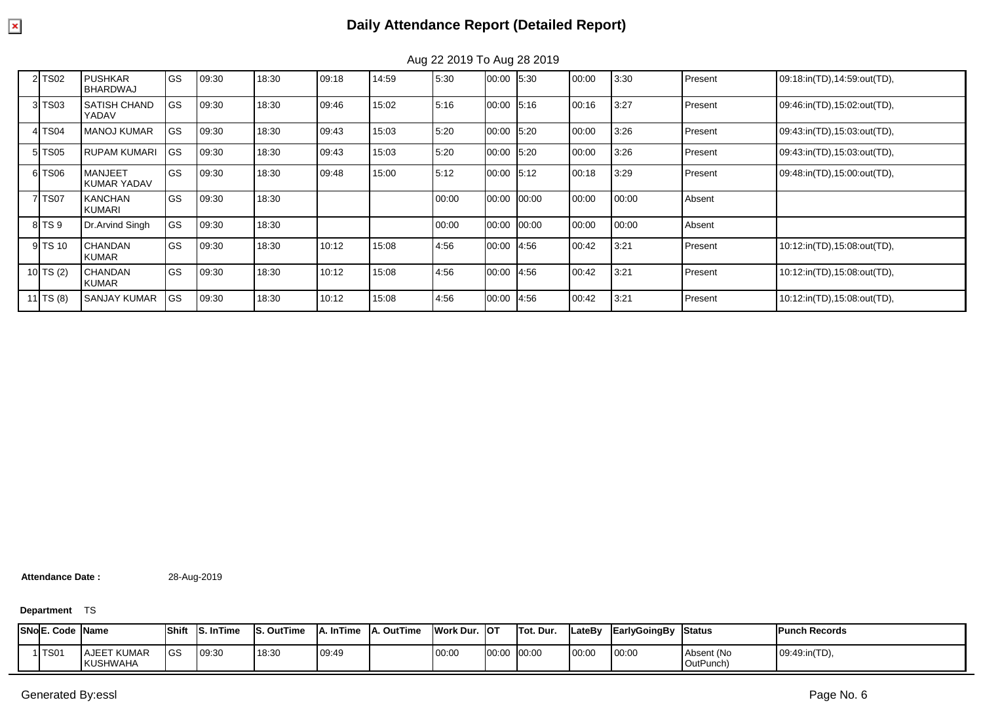| 2 TS02    | <b>PUSHKAR</b><br><b>BHARDWAJ</b> | GS | 09:30 | 18:30 | 09:18 | 14:59 | 5:30  | 00:00 5:30 |       | 00:00 | 3:30  | Present | 09:18:in(TD),14:59:out(TD), |
|-----------|-----------------------------------|----|-------|-------|-------|-------|-------|------------|-------|-------|-------|---------|-----------------------------|
| 3 TS03    | <b>SATISH CHAND</b><br>YADAV      | GS | 09:30 | 18:30 | 09:46 | 15:02 | 5:16  | 00:00 5:16 |       | 00:16 | 3:27  | Present | 09:46:in(TD),15:02:out(TD), |
| 4 TS04    | <b>MANOJ KUMAR</b>                | GS | 09:30 | 18:30 | 09:43 | 15:03 | 5:20  | 00:00 5:20 |       | 00:00 | 3:26  | Present | 09:43:in(TD),15:03:out(TD), |
| 5 TS05    | <b>RUPAM KUMARI</b>               | GS | 09:30 | 18:30 | 09:43 | 15:03 | 5:20  | 00:00 5:20 |       | 00:00 | 3:26  | Present | 09:43:in(TD),15:03:out(TD), |
| 6 TS06    | <b>MANJEET</b><br>KUMAR YADAV     | GS | 09:30 | 18:30 | 09:48 | 15:00 | 5:12  | 00:00 5:12 |       | 00:18 | 3:29  | Present | 09:48:in(TD),15:00:out(TD), |
| 7 TS07    | <b>KANCHAN</b><br><b>KUMARI</b>   | GS | 09:30 | 18:30 |       |       | 00:00 | 00:00      | 00:00 | 00:00 | 00:00 | Absent  |                             |
| 8 TS 9    | Dr. Arvind Singh                  | GS | 09:30 | 18:30 |       |       | 00:00 | 00:00      | 00:00 | 00:00 | 00:00 | Absent  |                             |
| 9 TS 10   | <b>CHANDAN</b><br><b>KUMAR</b>    | GS | 09:30 | 18:30 | 10:12 | 15:08 | 4:56  | 00:00 4:56 |       | 00:42 | 3:21  | Present | 10:12:in(TD),15:08:out(TD), |
| 10 TS (2) | <b>CHANDAN</b><br><b>KUMAR</b>    | GS | 09:30 | 18:30 | 10:12 | 15:08 | 4:56  | 00:00      | 4.56  | 00:42 | 3:21  | Present | 10:12:in(TD),15:08:out(TD), |
| 11 TS (8) | <b>SANJAY KUMAR</b>               | GS | 09:30 | 18:30 | 10:12 | 15:08 | 4:56  | 00:00 4:56 |       | 00:42 | 3:21  | Present | 10:12:in(TD),15:08:out(TD), |

Aug 22 2019 To Aug 28 2019

**Attendance Date :** 28-Aug-2019

**Department** TS

| SNoE. | . Code  Name     |                         | Shift | <b>S. In Time</b> | <b>OutTime</b><br>IS. | <b>InTime</b> | A. OutTime | Work Dur. | lot   | Tot. Dur. | <b>LateBy</b> | EarlyGoingBy | <b>Status</b>           | <b>IPunch Records</b> |
|-------|------------------|-------------------------|-------|-------------------|-----------------------|---------------|------------|-----------|-------|-----------|---------------|--------------|-------------------------|-----------------------|
|       | TS <sub>01</sub> | AJEET KUMAR<br>KUSHWAHA | lgs   | 09:30             | 18:30                 | 09:49         |            | 00:00     | 00:00 | 00:00     | 00:00         | 00:00        | Absent (No<br>OutPunch) | 09:49:in(TD),         |